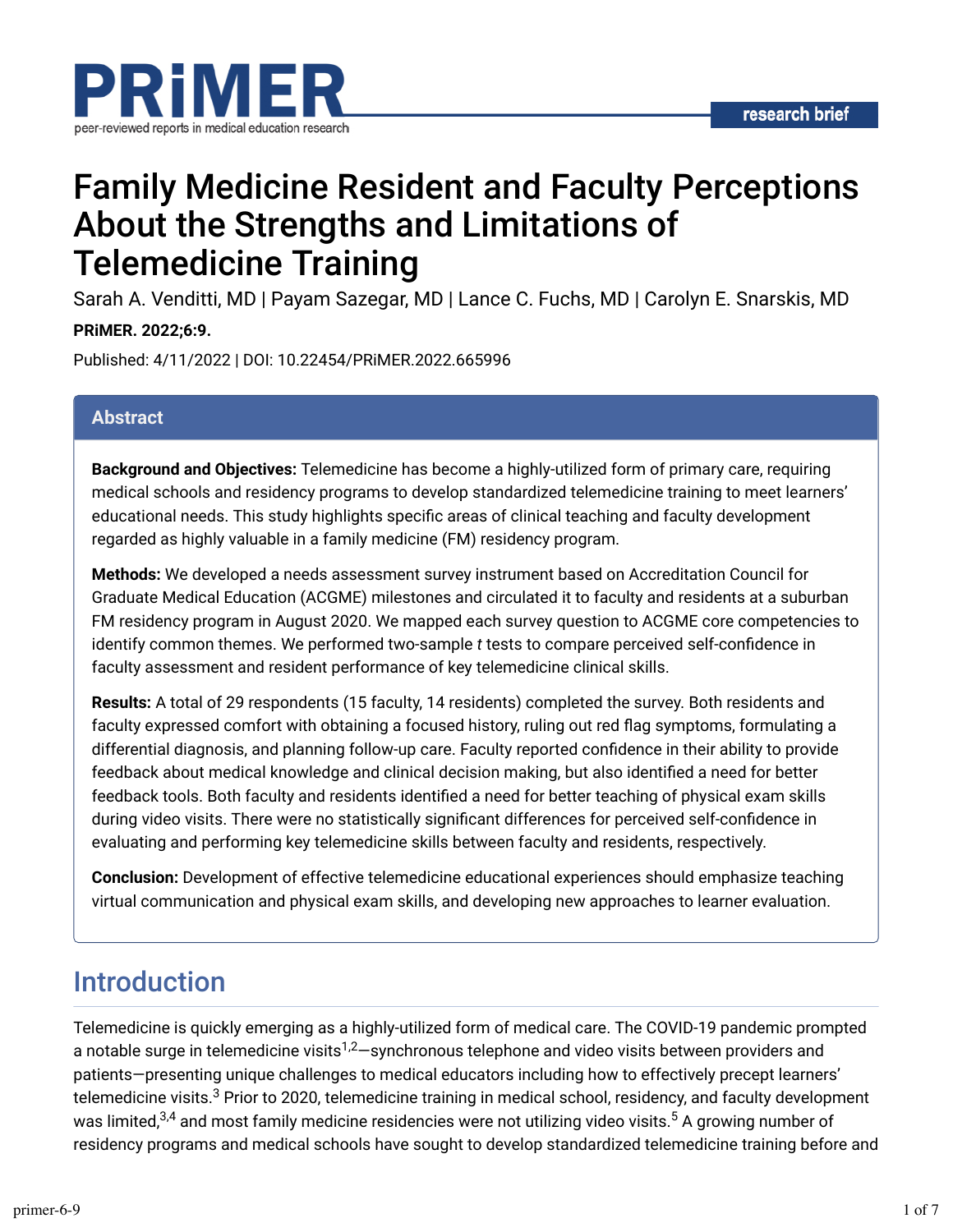

# Family Medicine Resident and Faculty Perceptions About the Strengths and Limitations of Telemedicine Training

Sarah A. Venditti, MD | Payam Sazegar, MD | Lance C. Fuchs, MD | Carolyn E. Snarskis, MD

### **PRiMER. 2022;6:9.**

Published: 4/11/2022 | DOI: 10.22454/PRiMER.2022.665996

### **Abstract**

**Background and Objectives:** Telemedicine has become a highly-utilized form of primary care, requiring medical schools and residency programs to develop standardized telemedicine training to meet learners' educational needs. This study highlights specific areas of clinical teaching and faculty development regarded as highly valuable in a family medicine (FM) residency program.

**Methods:** We developed a needs assessment survey instrument based on Accreditation Council for Graduate Medical Education (ACGME) milestones and circulated it to faculty and residents at a suburban FM residency program in August 2020. We mapped each survey question to ACGME core competencies to identify common themes. We performed two-sample *t* tests to compare perceived self-confidence in faculty assessment and resident performance of key telemedicine clinical skills.

**Results:** A total of 29 respondents (15 faculty, 14 residents) completed the survey. Both residents and faculty expressed comfort with obtaining a focused history, ruling out red flag symptoms, formulating a differential diagnosis, and planning follow-up care. Faculty reported confidence in their ability to provide feedback about medical knowledge and clinical decision making, but also identified a need for better feedback tools. Both faculty and residents identified a need for better teaching of physical exam skills during video visits. There were no statistically significant differences for perceived self-confidence in evaluating and performing key telemedicine skills between faculty and residents, respectively.

**Conclusion:** Development of effective telemedicine educational experiences should emphasize teaching virtual communication and physical exam skills, and developing new approaches to learner evaluation.

## Introduction

Telemedicine is quickly emerging as a highly-utilized form of medical care. The COVID-19 pandemic prompted a notable surge in telemedicine visits<sup>1,2</sup>—synchronous telephone and video visits between providers and patients—presenting unique challenges to medical educators including how to effectively precept learners' telemedicine visits. $^3$  Prior to 2020, telemedicine training in medical school, residency, and faculty development was limited, $^{3,4}$  and most family medicine residencies were not utilizing video visits. $^5$  A growing number of residency programs and medical schools have sought to develop standardized telemedicine training before and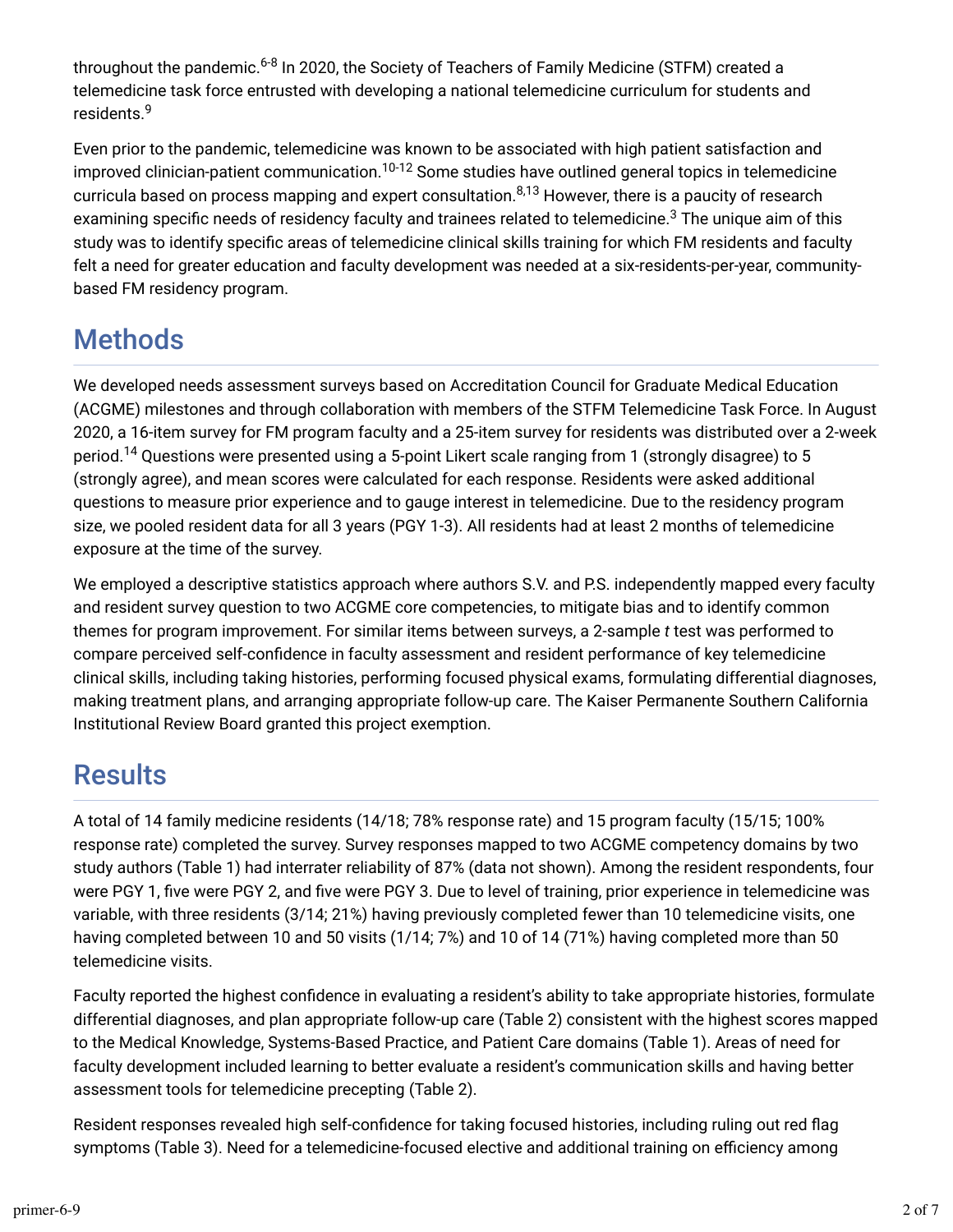throughout the pandemic.<sup>6-8</sup> In 2020, the Society of Teachers of Family Medicine (STFM) created a telemedicine task force entrusted with developing a national telemedicine curriculum for students and residents. 9

Even prior to the pandemic, telemedicine was known to be associated with high patient satisfaction and improved clinician-patient communication. $^{10\text{-}12}$  Some studies have outlined general topics in telemedicine curricula based on process mapping and expert consultation.<sup>8,13</sup> However, there is a paucity of research examining specific needs of residency faculty and trainees related to telemedicine. $^3$  The unique aim of this study was to identify specific areas of telemedicine clinical skills training for which FM residents and faculty felt a need for greater education and faculty development was needed at a six-residents-per-year, communitybased FM residency program.

# Methods

We developed needs assessment surveys based on Accreditation Council for Graduate Medical Education (ACGME) milestones and through collaboration with members of the STFM Telemedicine Task Force. In August 2020, a 16-item survey for FM program faculty and a 25-item survey for residents was distributed over a 2-week period.<sup>14</sup> Questions were presented using a 5-point Likert scale ranging from 1 (strongly disagree) to 5 (strongly agree), and mean scores were calculated for each response. Residents were asked additional questions to measure prior experience and to gauge interest in telemedicine. Due to the residency program size, we pooled resident data for all 3 years (PGY 1-3). All residents had at least 2 months of telemedicine exposure at the time of the survey.

We employed a descriptive statistics approach where authors S.V. and P.S. independently mapped every faculty and resident survey question to two ACGME core competencies, to mitigate bias and to identify common themes for program improvement. For similar items between surveys, a 2-sample *t* test was performed to compare perceived self-confidence in faculty assessment and resident performance of key telemedicine clinical skills, including taking histories, performing focused physical exams, formulating differential diagnoses, making treatment plans, and arranging appropriate follow-up care. The Kaiser Permanente Southern California Institutional Review Board granted this project exemption.

## **Results**

A total of 14 family medicine residents (14/18; 78% response rate) and 15 program faculty (15/15; 100% response rate) completed the survey. Survey responses mapped to two ACGME competency domains by two study authors (Table 1) had interrater reliability of 87% (data not shown). Among the resident respondents, four were PGY 1, five were PGY 2, and five were PGY 3. Due to level of training, prior experience in telemedicine was variable, with three residents (3/14; 21%) having previously completed fewer than 10 telemedicine visits, one having completed between 10 and 50 visits (1/14; 7%) and 10 of 14 (71%) having completed more than 50 telemedicine visits.

Faculty reported the highest confidence in evaluating a resident's ability to take appropriate histories, formulate differential diagnoses, and plan appropriate follow-up care (Table 2) consistent with the highest scores mapped to the Medical Knowledge, Systems-Based Practice, and Patient Care domains (Table 1). Areas of need for faculty development included learning to better evaluate a resident's communication skills and having better assessment tools for telemedicine precepting (Table 2).

Resident responses revealed high self-confidence for taking focused histories, including ruling out red flag symptoms (Table 3). Need for a telemedicine-focused elective and additional training on efficiency among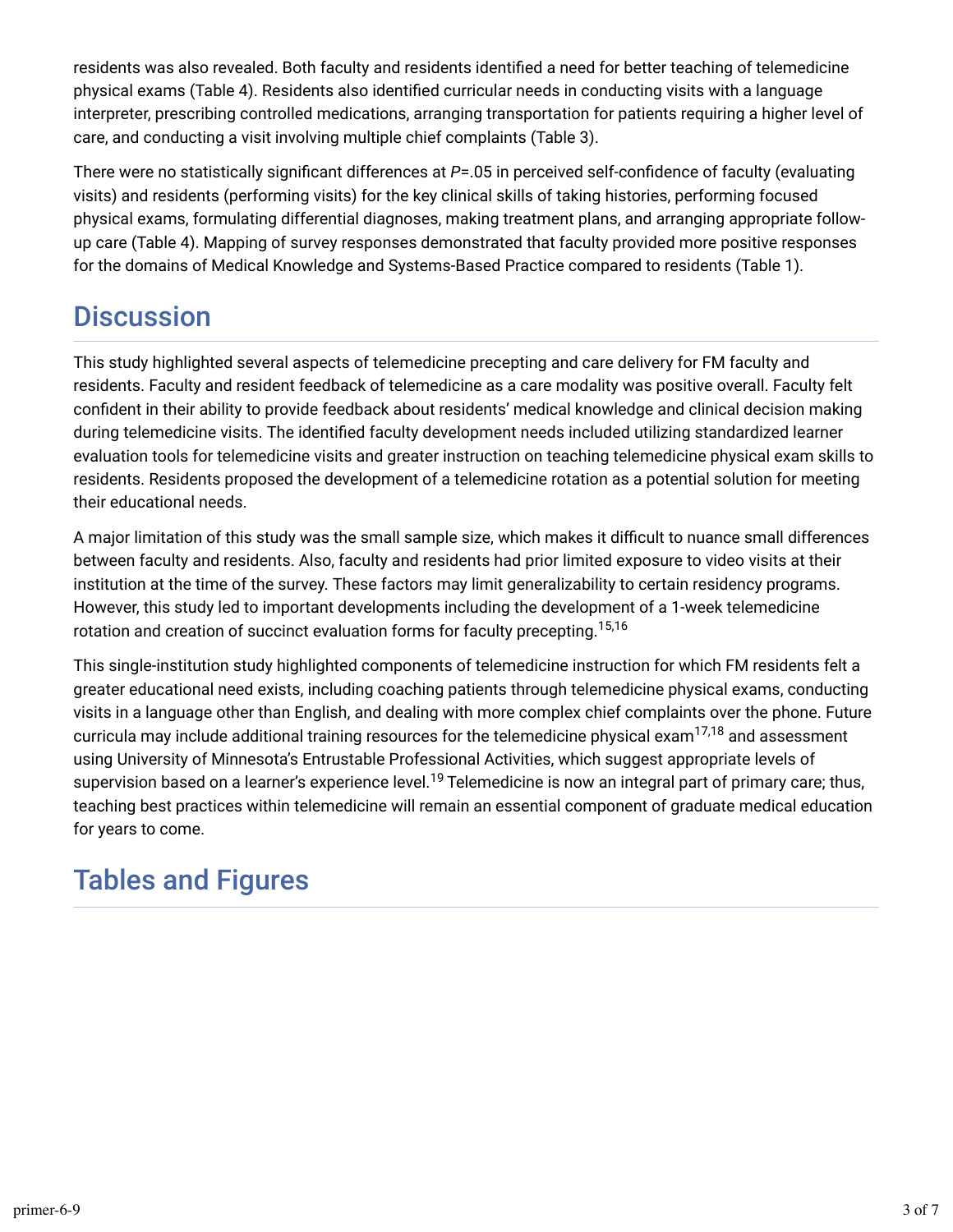residents was also revealed. Both faculty and residents identified a need for better teaching of telemedicine physical exams (Table 4). Residents also identified curricular needs in conducting visits with a language interpreter, prescribing controlled medications, arranging transportation for patients requiring a higher level of care, and conducting a visit involving multiple chief complaints (Table 3).

There were no statistically significant differences at *P*=.05 in perceived self-confidence of faculty (evaluating visits) and residents (performing visits) for the key clinical skills of taking histories, performing focused physical exams, formulating differential diagnoses, making treatment plans, and arranging appropriate followup care (Table 4). Mapping of survey responses demonstrated that faculty provided more positive responses for the domains of Medical Knowledge and Systems-Based Practice compared to residents (Table 1).

## **Discussion**

This study highlighted several aspects of telemedicine precepting and care delivery for FM faculty and residents. Faculty and resident feedback of telemedicine as a care modality was positive overall. Faculty felt confident in their ability to provide feedback about residents' medical knowledge and clinical decision making during telemedicine visits. The identified faculty development needs included utilizing standardized learner evaluation tools for telemedicine visits and greater instruction on teaching telemedicine physical exam skills to residents. Residents proposed the development of a telemedicine rotation as a potential solution for meeting their educational needs.

A major limitation of this study was the small sample size, which makes it difficult to nuance small differences between faculty and residents. Also, faculty and residents had prior limited exposure to video visits at their institution at the time of the survey. These factors may limit generalizability to certain residency programs. However, this study led to important developments including the development of a 1-week telemedicine rotation and creation of succinct evaluation forms for faculty precepting. 15,16

This single-institution study highlighted components of telemedicine instruction for which FM residents felt a greater educational need exists, including coaching patients through telemedicine physical exams, conducting visits in a language other than English, and dealing with more complex chief complaints over the phone. Future curricula may include additional training resources for the telemedicine physical exam $^{17,18}$  and assessment using University of Minnesota's Entrustable Professional Activities, which suggest appropriate levels of supervision based on a learner's experience level.<sup>19</sup> Telemedicine is now an integral part of primary care; thus, teaching best practices within telemedicine will remain an essential component of graduate medical education for years to come.

## Tables and Figures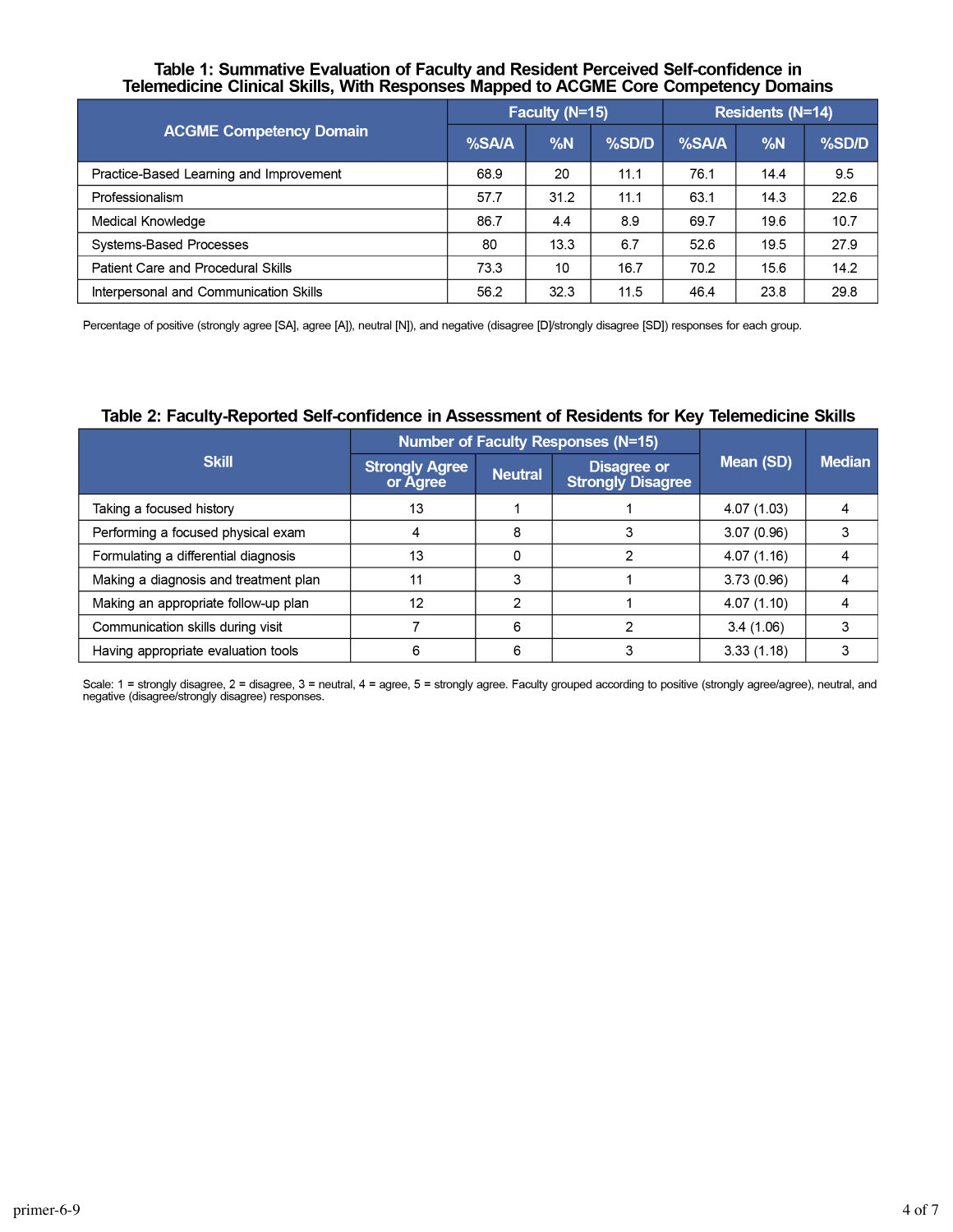# Table 1: Summative Evaluation of Faculty and Resident Perceived Self-confidence in<br>Telemedicine Clinical Skills, With Responses Mapped to ACGME Core Competency Domains

|                                         | Faculty (N=15) |      |       | Residents (N=14) |      |       |
|-----------------------------------------|----------------|------|-------|------------------|------|-------|
| <b>ACGME Competency Domain</b>          | %SA/A          | %N   | %SD/D | %SA/A            | %N   | %SD/D |
| Practice-Based Learning and Improvement | 68.9           | 20   | 11.1  | 76.1             | 14.4 | 9.5   |
| Professionalism                         | 57.7           | 31.2 | 11.1  | 63.1             | 14.3 | 22.6  |
| Medical Knowledge                       | 86.7           | 4.4  | 8.9   | 69.7             | 19.6 | 10.7  |
| Systems-Based Processes                 | 80             | 13.3 | 6.7   | 52.6             | 19.5 | 27.9  |
| Patient Care and Procedural Skills      | 73.3           | 10   | 16.7  | 70.2             | 15.6 | 14.2  |
| Interpersonal and Communication Skills  | 56.2           | 32.3 | 11.5  | 46.4             | 23.8 | 29.8  |

Percentage of positive (strongly agree [SA], agree [A]), neutral [N]), and negative (disagree [D]/strongly disagree [SD]) responses for each group.

#### Table 2: Faculty-Reported Self-confidence in Assessment of Residents for Key Telemedicine Skills

|                                       | <b>Number of Faculty Responses (N=15)</b> |                |                                         |             |               |
|---------------------------------------|-------------------------------------------|----------------|-----------------------------------------|-------------|---------------|
| <b>Skill</b>                          | <b>Strongly Agree</b><br>or Agree         | <b>Neutral</b> | Disagree or<br><b>Strongly Disagree</b> | Mean (SD)   | <b>Median</b> |
| Taking a focused history              | 13                                        |                |                                         | 4.07 (1.03) |               |
| Performing a focused physical exam    |                                           | 8              |                                         | 3.07(0.96)  |               |
| Formulating a differential diagnosis  | 13                                        | 0              |                                         | 4.07(1.16)  |               |
| Making a diagnosis and treatment plan | 11                                        | 3              |                                         | 3.73(0.96)  |               |
| Making an appropriate follow-up plan  | 12                                        | 2              |                                         | 4.07(1.10)  |               |
| Communication skills during visit     |                                           | 6              |                                         | 3.4(1.06)   | 3             |
| Having appropriate evaluation tools   | 6                                         | 6              |                                         | 3.33(1.18)  |               |

Scale: 1 = strongly disagree, 2 = disagree, 3 = neutral, 4 = agree, 5 = strongly agree. Faculty grouped according to positive (strongly agree/agree), neutral, and<br>negative (disagree/strongly disagree) responses.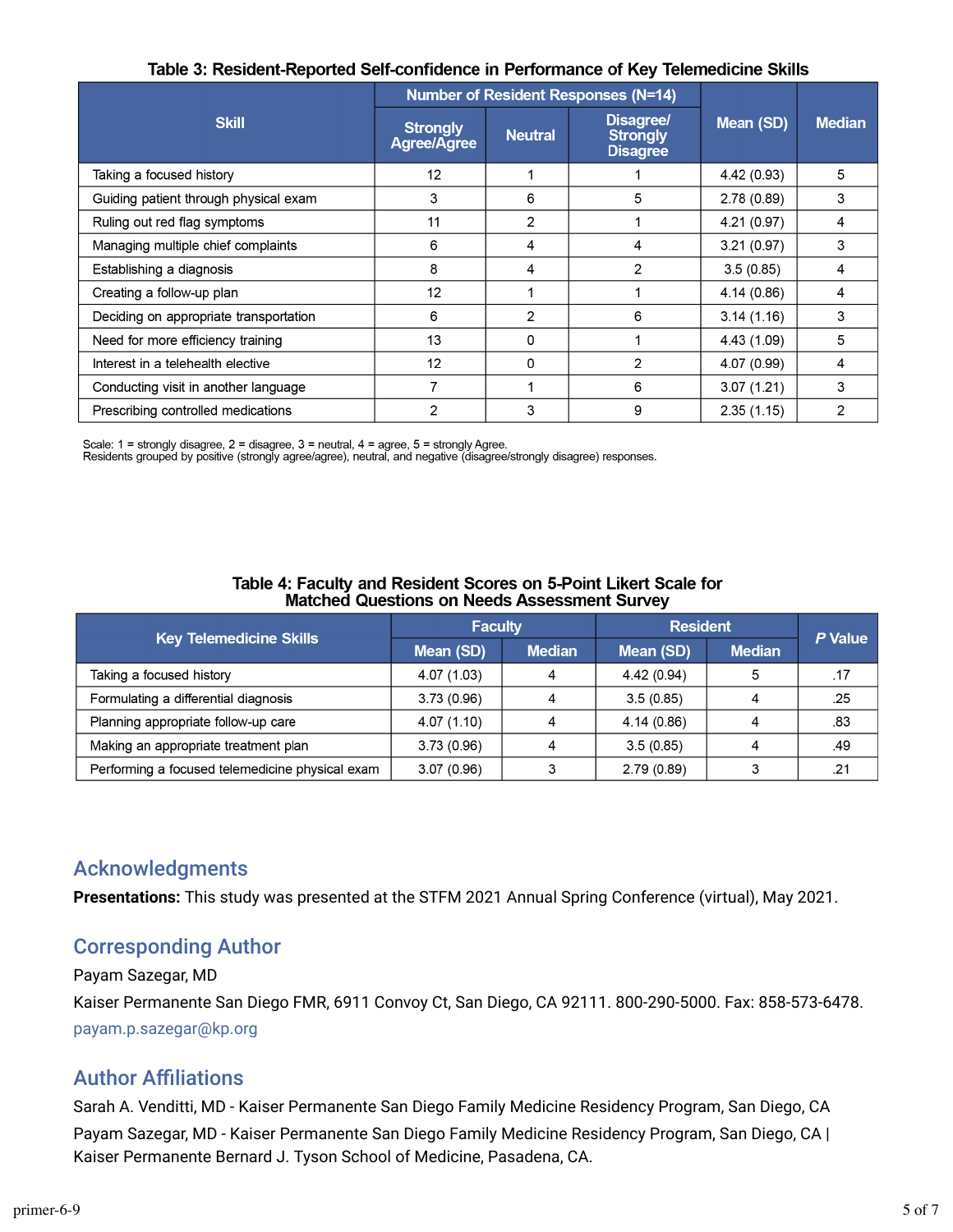|                                        |                                | <b>Number of Resident Responses (N=14)</b> |                                                 |             |               |
|----------------------------------------|--------------------------------|--------------------------------------------|-------------------------------------------------|-------------|---------------|
| <b>Skill</b>                           | <b>Strongly</b><br>Agree/Agree | <b>Neutral</b>                             | Disagree/<br><b>Strongly</b><br><b>Disagree</b> | Mean (SD)   | <b>Median</b> |
| Taking a focused history               | 12                             |                                            |                                                 | 4.42 (0.93) | 5             |
| Guiding patient through physical exam  | 3                              | 6                                          | 5                                               | 2.78(0.89)  | 3             |
| Ruling out red flag symptoms           | 11                             | 2                                          |                                                 | 4.21 (0.97) | 4             |
| Managing multiple chief complaints     | 6                              | 4                                          | 4                                               | 3.21(0.97)  | 3             |
| Establishing a diagnosis               | 8                              | 4                                          | 2                                               | 3.5(0.85)   | 4             |
| Creating a follow-up plan              | 12                             |                                            |                                                 | 4.14(0.86)  | 4             |
| Deciding on appropriate transportation | 6                              | 2                                          | 6                                               | 3.14(1.16)  | 3             |
| Need for more efficiency training      | 13                             | 0                                          |                                                 | 4.43 (1.09) | 5             |
| Interest in a telehealth elective      | 12                             | 0                                          | 2                                               | 4.07 (0.99) | 4             |
| Conducting visit in another language   | 7                              | 1                                          | 6                                               | 3.07(1.21)  | 3             |
| Prescribing controlled medications     | 2                              | 3                                          | 9                                               | 2.35(1.15)  | 2             |

### Table 3: Resident-Reported Self-confidence in Performance of Key Telemedicine Skills

Scale: 1 = strongly disagree, 2 = disagree, 3 = neutral, 4 = agree, 5 = strongly Agree.<br>Residents grouped by positive (strongly agree/agree), neutral, and negative (disagree/strongly disagree) responses.

| Table 4: Faculty and Resident Scores on 5-Point Likert Scale for |  |
|------------------------------------------------------------------|--|
| <b>Matched Questions on Needs Assessment Survey</b>              |  |

|                                                 | <b>Faculty</b> |               | <b>Resident</b> | P Value       |     |
|-------------------------------------------------|----------------|---------------|-----------------|---------------|-----|
| <b>Key Telemedicine Skills</b>                  | Mean (SD)      | <b>Median</b> | Mean (SD)       | <b>Median</b> |     |
| Taking a focused history                        | 4.07 (1.03)    | Δ             | 4.42(0.94)      |               | .17 |
| Formulating a differential diagnosis            | 3.73(0.96)     |               | 3.5(0.85)       |               | .25 |
| Planning appropriate follow-up care             | 4.07(1.10)     |               | 4.14(0.86)      |               | .83 |
| Making an appropriate treatment plan            | 3.73(0.96)     |               | 3.5(0.85)       |               | .49 |
| Performing a focused telemedicine physical exam | 3.07(0.96)     |               | 2.79(0.89)      |               | .21 |

### Acknowledgments

**Presentations:** This study was presented at the STFM 2021 Annual Spring Conference (virtual), May 2021.

## Corresponding Author

#### Payam Sazegar, MD

Kaiser Permanente San Diego FMR, 6911 Convoy Ct, San Diego, CA 92111. 800-290-5000. Fax: 858-573-6478. [payam.p.sazegar@kp.org](mailto:%20payam.p.sazegar@kp.org)

### **Author Affiliations**

Sarah A. Venditti, MD - Kaiser Permanente San Diego Family Medicine Residency Program, San Diego, CA Payam Sazegar, MD - Kaiser Permanente San Diego Family Medicine Residency Program, San Diego, CA | Kaiser Permanente Bernard J. Tyson School of Medicine, Pasadena, CA.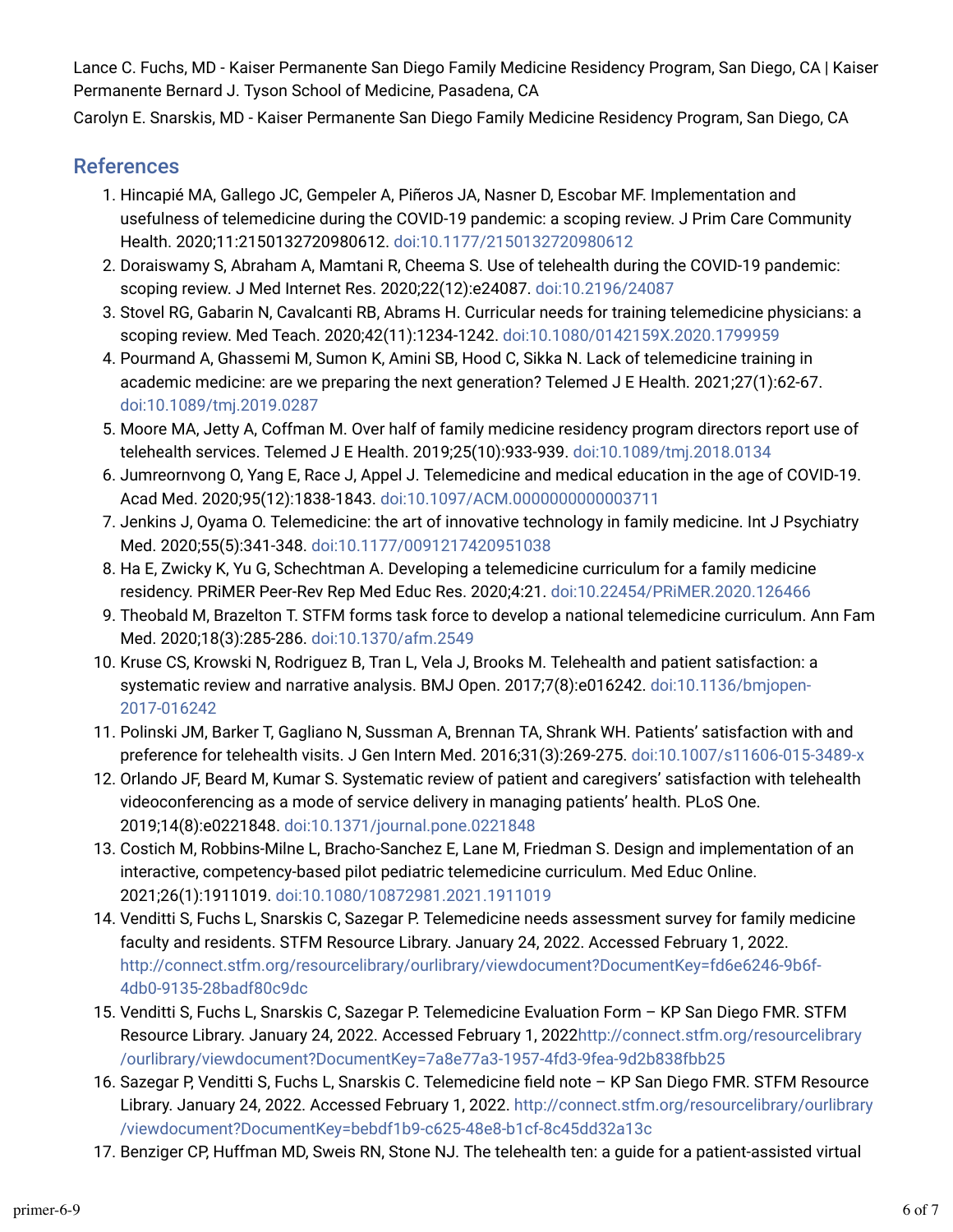Lance C. Fuchs, MD - Kaiser Permanente San Diego Family Medicine Residency Program, San Diego, CA | Kaiser Permanente Bernard J. Tyson School of Medicine, Pasadena, CA

Carolyn E. Snarskis, MD - Kaiser Permanente San Diego Family Medicine Residency Program, San Diego, CA

### References

- 1. Hincapié MA, Gallego JC, Gempeler A, Piñeros JA, Nasner D, Escobar MF. Implementation and usefulness of telemedicine during the COVID-19 pandemic: a scoping review. J Prim Care Community Health. 2020;11:2150132720980612. [doi:10.1177/2150132720980612](https://doi.org/10.1177/2150132720980612)
- 2. Doraiswamy S, Abraham A, Mamtani R, Cheema S. Use of telehealth during the COVID-19 pandemic: scoping review. J Med Internet Res. 2020;22(12):e24087. [doi:10.2196/24087](https://doi.org/10.2196/24087)
- 3. Stovel RG, Gabarin N, Cavalcanti RB, Abrams H. Curricular needs for training telemedicine physicians: a scoping review. Med Teach. 2020;42(11):1234-1242. [doi:10.1080/0142159X.2020.1799959](https://doi.org/10.1080/0142159X.2020.1799959)
- 4. Pourmand A, Ghassemi M, Sumon K, Amini SB, Hood C, Sikka N. Lack of telemedicine training in academic medicine: are we preparing the next generation? Telemed J E Health. 2021;27(1):62-67. [doi:10.1089/tmj.2019.0287](https://doi.org/10.1089/tmj.2019.0287)
- 5. Moore MA, Jetty A, Coffman M. Over half of family medicine residency program directors report use of telehealth services. Telemed J E Health. 2019;25(10):933-939. [doi:10.1089/tmj.2018.0134](https://doi.org/10.1089/tmj.2018.0134)
- t. Jumreornvong O, Yang E, Race J, Appel J. Telemedicine and medical education in the age of COVID-19. Acad Med. 2020;95(12):1838-1843. [doi:10.1097/ACM.0000000000003711](https://doi.org/10.1097/ACM.0000000000003711)
- 7. Jenkins J, Oyama O. Telemedicine: the art of innovative technology in family medicine. Int J Psychiatry Med. 2020;55(5):341-348. [doi:10.1177/0091217420951038](https://doi.org/10.1177/0091217420951038)
- 8. Ha E, Zwicky K, Yu G, Schechtman A. Developing a telemedicine curriculum for a family medicine residency. PRiMER Peer-Rev Rep Med Educ Res. 2020;4:21. [doi:10.22454/PRiMER.2020.126466](https://doi.org/10.22454/PRiMER.2020.126466)
- 9. Theobald M, Brazelton T. STFM forms task force to develop a national telemedicine curriculum. Ann Fam Med. 2020;18(3):285-286. [doi:10.1370/afm.2549](https://doi.org/10.1370/afm.2549)
- 10. Kruse CS, Krowski N, Rodriguez B, Tran L, Vela J, Brooks M. Telehealth and patient satisfaction: a systematic review and narrative analysis. BMJ Open. 2017;7(8):e016242. [doi:10.1136/bmjopen-](https://doi.org/10.1136/bmjopen-2017-016242)[2017-016242](https://doi.org/10.1136/bmjopen-2017-016242)
- 11. Polinski JM, Barker T, Gagliano N, Sussman A, Brennan TA, Shrank WH. Patients' satisfaction with and preference for telehealth visits. J Gen Intern Med. 2016;31(3):269-275. [doi:10.1007/s11606-015-3489-x](https://doi.org/10.1007/s11606-015-3489-x)
- 12. Orlando JF, Beard M, Kumar S. Systematic review of patient and caregivers' satisfaction with telehealth videoconferencing as a mode of service delivery in managing patients' health. PLoS One. 2019;14(8):e0221848. [doi:10.1371/journal.pone.0221848](https://doi.org/10.1371/journal.pone.0221848)
- 13. Costich M, Robbins-Milne L, Bracho-Sanchez E, Lane M, Friedman S. Design and implementation of an interactive, competency-based pilot pediatric telemedicine curriculum. Med Educ Online. 2021;26(1):1911019. [doi:10.1080/10872981.2021.1911019](https://doi.org/10.1080/10872981.2021.1911019)
- 14. Venditti S, Fuchs L, Snarskis C, Sazegar P. Telemedicine needs assessment survey for family medicine faculty and residents. STFM Resource Library. January 24, 2022. Accessed February 1, 2022. [http://connect.stfm.org/resourcelibrary/ourlibrary/viewdocument?DocumentKey=fd6e6246-9b6f-](http://connect.stfm.org/resourcelibrary/ourlibrary/viewdocument?DocumentKey=fd6e6246-9b6f-4db0-9135-28badf80c9dc)[4db0-9135-28badf80c9dc](http://connect.stfm.org/resourcelibrary/ourlibrary/viewdocument?DocumentKey=fd6e6246-9b6f-4db0-9135-28badf80c9dc)
- 15. Venditti S, Fuchs L, Snarskis C, Sazegar P. Telemedicine Evaluation Form KP San Diego FMR. STFM Resource Library. January 24, 2022. Accessed February 1, 202[2http://connect.stfm.org/resourcelibrary](http://connect.stfm.org/resourcelibrary/ourlibrary/viewdocument?DocumentKey=7a8e77a3-1957-4fd3-9fea-9d2b838fbb25) [/ourlibrary/viewdocument?DocumentKey=7a8e77a3-1957-4fd3-9fea-9d2b838fbb25](http://connect.stfm.org/resourcelibrary/ourlibrary/viewdocument?DocumentKey=7a8e77a3-1957-4fd3-9fea-9d2b838fbb25)
- 16. Sazegar P, Venditti S, Fuchs L, Snarskis C. Telemedicine field note KP San Diego FMR. STFM Resource Library. January 24, 2022. Accessed February 1, 2022. [http://connect.stfm.org/resourcelibrary/ourlibrary](http://connect.stfm.org/resourcelibrary/ourlibrary/viewdocument?DocumentKey=bebdf1b9-c625-48e8-b1cf-8c45dd32a13c) [/viewdocument?DocumentKey=bebdf1b9-c625-48e8-b1cf-8c45dd32a13c](http://connect.stfm.org/resourcelibrary/ourlibrary/viewdocument?DocumentKey=bebdf1b9-c625-48e8-b1cf-8c45dd32a13c)
- 17. Benziger CP, Huffman MD, Sweis RN, Stone NJ. The telehealth ten: a guide for a patient-assisted virtual